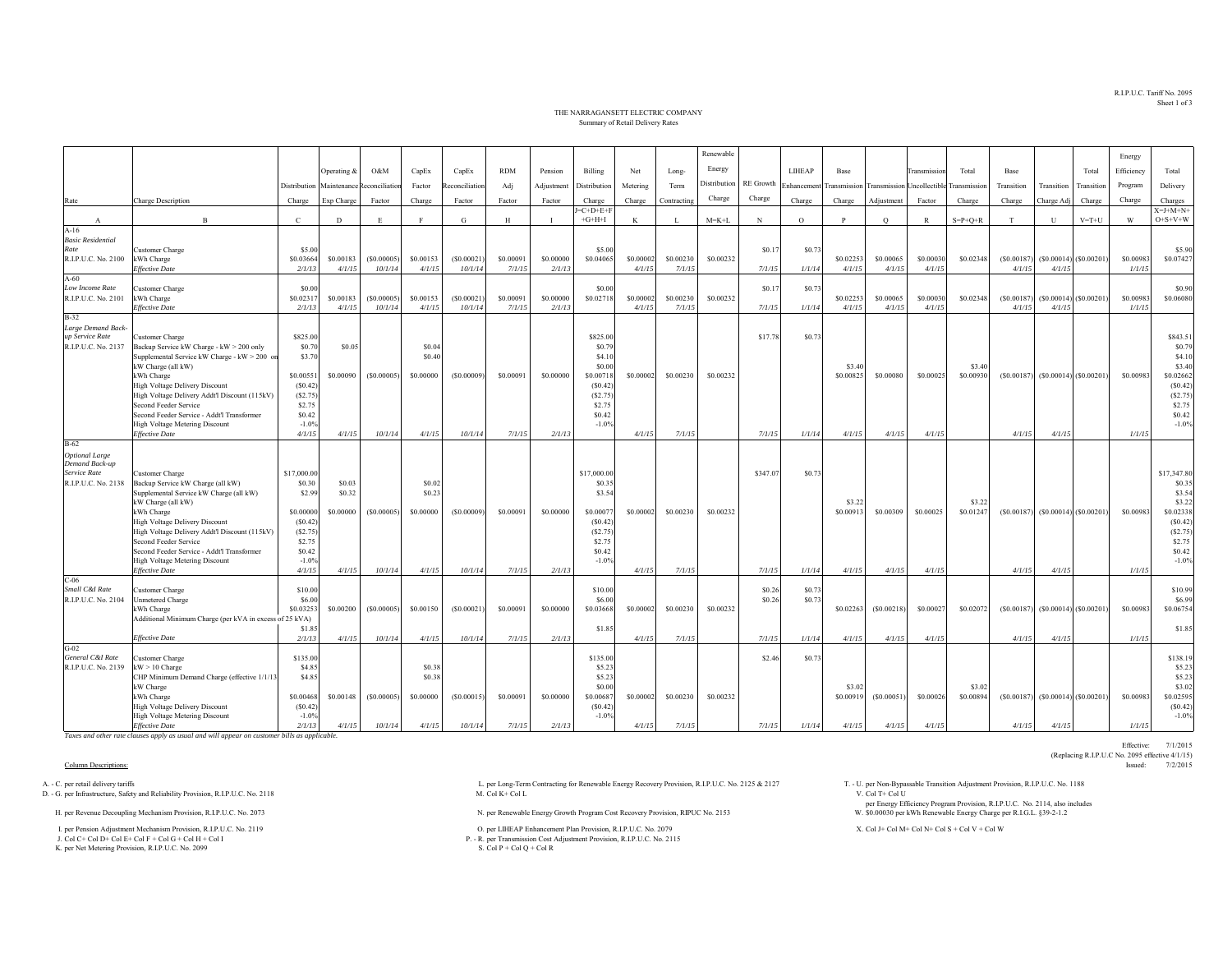R.I.P.U.C. Tariff No. 2095Sheet 1 of 3

Effective: 7/1/2015

(Replacing R.I.P.U.C No. 2095 effective 4/1/15)<br>Issued: 7/2/2015

## THE NARRAGANSETT ELECTRIC COMPANYSummary of Retail Delivery Rates

|                                  |                                                               |                   |             |                                         |           |               |            |                |                        |           |              | Renewable    |                  |               |                     |            |                                         |                    |            |              |                           | Energy     |                         |
|----------------------------------|---------------------------------------------------------------|-------------------|-------------|-----------------------------------------|-----------|---------------|------------|----------------|------------------------|-----------|--------------|--------------|------------------|---------------|---------------------|------------|-----------------------------------------|--------------------|------------|--------------|---------------------------|------------|-------------------------|
|                                  |                                                               |                   | Operating & | O&M                                     | CapEx     | CapEx         | <b>RDM</b> | Pension        | Billing                | Net       | Long-        | Energy       |                  | <b>LIHEAP</b> | Base                |            | <b>Transmission</b>                     | Total              | Base       |              | Total                     | Efficiency | Total                   |
|                                  |                                                               |                   |             |                                         |           |               |            |                |                        |           |              | Distribution | <b>RE</b> Growth |               |                     |            |                                         |                    |            |              |                           |            |                         |
|                                  |                                                               |                   |             | Distribution Maintenance Reconciliation | Factor    | econciliation | Adj        | Adjustment     | Distribution           | Metering  | Term         |              |                  | Enhancemen    |                     |            | Transmission Transmission Uncollectible | Transmission       | Transition | Transition   | Transition                | Program    | Delivery                |
| Rate                             | Charge Description                                            | Charge            | Exp Charge  | Factor                                  | Charge    | Factor        | Factor     | Factor         | Charge                 | Charge    | Contracting  | Charge       | Charge           | Charge        | Charge              | Adjustment | Factor                                  | Charge             | Charge     | Charge Adj   | Charge                    | Charge     | Charges                 |
| $\mathbf{A}$                     | $\mathbf{B}$                                                  | $\mathcal{C}$     | D           | E                                       |           | G             | H          | $\blacksquare$ | $J=C+D+E+$<br>$+G+H+I$ | K         | $\mathbf{I}$ | $M = K + L$  | N                | $\Omega$      | P                   | $\circ$    | $\mathbb{R}$                            | $S = P + Q + R$    | T          | $\mathbf{U}$ | $V = T + U$               | W          | $X=J+M+N+$<br>$O+S+V+W$ |
| $A-16$                           |                                                               |                   |             |                                         |           |               |            |                |                        |           |              |              |                  |               |                     |            |                                         |                    |            |              |                           |            |                         |
| <b>Basic Residential</b><br>Rate | Customer Charge                                               | \$5.00            |             |                                         |           |               |            |                | \$5.00                 |           |              |              | \$0.1            | \$0.73        |                     |            |                                         |                    |            |              |                           |            | \$5.90                  |
| R.I.P.U.C. No. 2100              | kWh Charge                                                    | \$0.03664         | \$0.00183   | (S0.00005)                              | \$0.00153 | (S0.00021)    | \$0,00091  | \$0,00000      | \$0.04065              | \$0,0000  | \$0.00230    | \$0.00232    |                  |               | \$0.02253           | \$0,00065  | \$0,00030                               | \$0.02348          | (S0.00187) |              | $(S0.00014)$ (\$0.00201)  | \$0.00983  | \$0.07427               |
|                                  | <b>Effective Date</b>                                         | 2/1/13            | 4/1/15      | 10/1/14                                 | 4/1/15    | 10/1/14       | 7/1/15     | 2/1/13         |                        | 4/1/15    | 7/1/15       |              | 7/1/15           | 1/1/14        | 4/1/15              | 4/1/15     | 4/1/15                                  |                    | 4/1/15     | 4/1/15       |                           | 1/1/15     |                         |
| $A-60$                           |                                                               |                   |             |                                         |           |               |            |                |                        |           |              |              |                  |               |                     |            |                                         |                    |            |              |                           |            |                         |
| Low Income Rate                  | Customer Charge                                               | \$0.00            |             |                                         |           |               |            |                | \$0.00                 |           |              |              | \$0.17           | \$0.7         |                     |            |                                         |                    |            |              |                           |            | \$0.90                  |
| R.I.P.U.C. No. 2101              | kWh Charge                                                    | \$0.02317         | \$0.00183   | (S0.00005)                              | \$0.00153 | (S0.00021)    | \$0.00091  | \$0.00000      | \$0.02718              | \$0,0000  | \$0.00230    | \$0.00232    |                  |               | \$0.02253           | \$0,00065  | \$0.00030                               | \$0.02348          | (S0.00187) |              | $(S0.00014)$ (\$0.00201)  | \$0.00983  | \$0.06080               |
| $B-32$                           | <b>Effective Date</b>                                         | 2/1/1             | 4/1/15      | 10/1/14                                 | 4/1/15    | 10/1/14       | 7/1/15     | 2/1/13         |                        | 4/1/15    | 7/1/15       |              | 7/1/15           | 1/1/14        | 4/1/15              | 4/1/15     | 4/1/15                                  |                    | 4/1/15     | 4/1/15       |                           | 1/1/15     |                         |
| Large Demand Back                |                                                               |                   |             |                                         |           |               |            |                |                        |           |              |              |                  |               |                     |            |                                         |                    |            |              |                           |            |                         |
| up Service Rate                  | Customer Charge                                               | \$825.00          |             |                                         |           |               |            |                | \$825.00               |           |              |              | \$17.78          | \$0.7         |                     |            |                                         |                    |            |              |                           |            | \$843.51                |
| R.I.P.U.C. No. 2137              | Backup Service kW Charge - kW > 200 only                      | \$0.70            | \$0.05      |                                         | \$0.04    |               |            |                | \$0.79                 |           |              |              |                  |               |                     |            |                                         |                    |            |              |                           |            | \$0.79                  |
|                                  | Supplemental Service kW Charge - kW > 200 or                  | \$3.70            |             |                                         | \$0.40    |               |            |                | \$4.10                 |           |              |              |                  |               |                     |            |                                         |                    |            |              |                           |            | \$4.10                  |
|                                  | kW Charge (all kW)<br>kWh Charge                              | \$0,00551         | \$0.00090   | (S0.00005)                              | \$0,00000 | (S0.00009)    | \$0,00091  | \$0,00000      | \$0.00<br>\$0.00718    | \$0,00002 | \$0.00230    | \$0.00232    |                  |               | \$3.40<br>\$0.00825 | \$0.00080  | \$0.00025                               | \$3.40<br>\$0,0093 | (S0.00187) |              | $(S0.00014)$ $(S0.00201)$ | \$0.00983  | \$3.40<br>\$0.02662     |
|                                  | <b>High Voltage Delivery Discount</b>                         | (S0.42)           |             |                                         |           |               |            |                | (S0.42)                |           |              |              |                  |               |                     |            |                                         |                    |            |              |                           |            | (S0.42)                 |
|                                  | High Voltage Delivery Addt'l Discount (115kV)                 | (S2.75)           |             |                                         |           |               |            |                | (S2.75)                |           |              |              |                  |               |                     |            |                                         |                    |            |              |                           |            | (S2.75)                 |
|                                  | Second Feeder Service                                         | \$2.75            |             |                                         |           |               |            |                | \$2.75                 |           |              |              |                  |               |                     |            |                                         |                    |            |              |                           |            | \$2.75                  |
|                                  | Second Feeder Service - Addt'l Transformer                    | \$0.42            |             |                                         |           |               |            |                | \$0.42                 |           |              |              |                  |               |                     |            |                                         |                    |            |              |                           |            | \$0.42                  |
|                                  | High Voltage Metering Discount<br><b>Effective Date</b>       | $-1.0%$           |             |                                         |           |               |            |                | $-1.0%$                |           |              |              |                  |               |                     |            |                                         |                    |            |              |                           |            | $-1.0%$                 |
| $B-62$                           |                                                               | 4/1/15            | 4/1/15      | 10/1/14                                 | 4/1/15    | 10/1/14       | 7/1/15     | 2/1/13         |                        | 4/1/15    | 7/1/15       |              | 7/1/15           | 1/1/14        | 4/1/15              | 4/1/15     | 4/1/15                                  |                    | 4/1/15     | 4/1/15       |                           | 1/1/15     |                         |
| <b>Optional Large</b>            |                                                               |                   |             |                                         |           |               |            |                |                        |           |              |              |                  |               |                     |            |                                         |                    |            |              |                           |            |                         |
| Demand Back-up                   |                                                               |                   |             |                                         |           |               |            |                |                        |           |              |              |                  |               |                     |            |                                         |                    |            |              |                           |            |                         |
| Service Rate                     | Customer Charge                                               | \$17,000.00       |             |                                         |           |               |            |                | \$17,000.00            |           |              |              | \$347.07         | \$0.7         |                     |            |                                         |                    |            |              |                           |            | \$17,347.80             |
| R.I.P.U.C. No. 2138              | Backup Service kW Charge (all kW)                             | \$0.30            | \$0.03      |                                         | \$0.02    |               |            |                | \$0.3\$                |           |              |              |                  |               |                     |            |                                         |                    |            |              |                           |            | \$0.35                  |
|                                  | Supplemental Service kW Charge (all kW)<br>kW Charge (all kW) | \$2.99            | \$0.32      |                                         | \$0.23    |               |            |                | \$3.54                 |           |              |              |                  |               | \$3.22              |            |                                         | \$3.2              |            |              |                           |            | \$3.54<br>\$3.22        |
|                                  | kWh Charge                                                    | \$0,00000         | \$0.00000   | (S0.00005)                              | \$0,00000 | (S0.00009)    | \$0,00091  | \$0,00000      | \$0.0007               | \$0,0000  | \$0.00230    | \$0.00232    |                  |               | \$0.00913           | \$0.00309  | \$0.00025                               | \$0.0124           | (S0.00187) |              | $(S0.00014)$ $(S0.00201)$ | \$0.00983  | \$0.02338               |
|                                  | <b>High Voltage Delivery Discount</b>                         | (S0.42)           |             |                                         |           |               |            |                | (S0.42)                |           |              |              |                  |               |                     |            |                                         |                    |            |              |                           |            | (S0.42)                 |
|                                  | High Voltage Delivery Addt'l Discount (115kV)                 | (S2.75)           |             |                                         |           |               |            |                | (S2.75)                |           |              |              |                  |               |                     |            |                                         |                    |            |              |                           |            | (S2.75)                 |
|                                  | Second Feeder Service                                         | \$2.75            |             |                                         |           |               |            |                | \$2.75                 |           |              |              |                  |               |                     |            |                                         |                    |            |              |                           |            | \$2.75                  |
|                                  | Second Feeder Service - Addt'l Transformer                    | \$0.42            |             |                                         |           |               |            |                | \$0.42                 |           |              |              |                  |               |                     |            |                                         |                    |            |              |                           |            | \$0.42                  |
|                                  | High Voltage Metering Discount<br><b>Effective Date</b>       | $-1.0%$<br>4/1/15 | 4/1/15      | 10/1/14                                 | 4/1/15    | 10/1/14       | 7/1/15     | 2/1/13         | $-1.0%$                | 4/1/15    | 7/1/15       |              | 7/1/15           | 1/1/14        | 4/1/15              | 4/1/15     | 4/1/15                                  |                    | 4/1/15     | 4/1/15       |                           | 1/1/15     | $-1.0%$                 |
| $C-06$                           |                                                               |                   |             |                                         |           |               |            |                |                        |           |              |              |                  |               |                     |            |                                         |                    |            |              |                           |            |                         |
| Small C&I Rate                   | Customer Charge                                               | \$10.00           |             |                                         |           |               |            |                | \$10.00                |           |              |              | \$0.26           | \$0.7         |                     |            |                                         |                    |            |              |                           |            | \$10.99                 |
| R.I.P.U.C. No. 2104              | Unmetered Charge                                              | \$6.00            |             |                                         |           |               |            |                | \$6.00                 |           |              |              | \$0.26           | \$0.7         |                     |            |                                         |                    |            |              |                           |            | \$6.99                  |
|                                  | kWh Charge                                                    | \$0.0325          | \$0.00200   | (S0.00005)                              | \$0.00150 | (S0.00021)    | \$0,0009   | \$0,00000      | \$0.03668              | \$0,00002 | \$0.00230    | \$0.00232    |                  |               | \$0.02263           | (S0.00218) | \$0.00027                               | \$0.02072          | (S0.00187) |              | $(S0.00014)$ $(S0.00201)$ | \$0.00983  | \$0.06754               |
|                                  | Additional Minimum Charge (per kVA in excess of 25 kVA)       | \$1.8             |             |                                         |           |               |            |                | \$1.85                 |           |              |              |                  |               |                     |            |                                         |                    |            |              |                           |            | \$1.85                  |
|                                  | <b>Effective Date</b>                                         | 2/1/13            | 4/1/15      | 10/1/14                                 | 4/1/15    | 10/1/14       | 7/1/15     | 2/1/13         |                        | 4/1/15    | 7/1/15       |              | 7/1/15           | 1/1/14        | 4/1/15              | 4/1/15     | 4/1/15                                  |                    | 4/1/15     | 4/1/15       |                           | 1/1/15     |                         |
| $G-02$                           |                                                               |                   |             |                                         |           |               |            |                |                        |           |              |              |                  |               |                     |            |                                         |                    |            |              |                           |            |                         |
| General C&I Rate                 | Customer Charge                                               | \$135.00          |             |                                         |           |               |            |                | \$135.00               |           |              |              | \$2.46           | \$0.7         |                     |            |                                         |                    |            |              |                           |            | \$138.19                |
| R.I.P.U.C. No. 2139              | $kW > 10$ Charge                                              | \$4.8             |             |                                         | \$0.38    |               |            |                | \$5.23                 |           |              |              |                  |               |                     |            |                                         |                    |            |              |                           |            | \$5.23                  |
|                                  | CHP Minimum Demand Charge (effective 1/1/1<br>kW Charge       | \$4.85            |             |                                         | \$0.38    |               |            |                | \$5.23<br>\$0.00       |           |              |              |                  |               | \$3.02              |            |                                         | \$3.02             |            |              |                           |            | \$5.23<br>\$3.02        |
|                                  | kWh Charge                                                    | \$0.00468         | \$0.00148   | (S0.00005)                              | \$0.00000 | (S0.00015)    | \$0.00091  | \$0.00000      | \$0.00687              | \$0.00002 | \$0.00230    | \$0.00232    |                  |               | \$0.00919           | (S0.00051) | \$0.00026                               | \$0.00894          | (S0.00187) |              | $(S0.00014)$ $(S0.00201)$ | \$0.00983  | \$0.02595               |
|                                  | <b>High Voltage Delivery Discount</b>                         | (S0.42)           |             |                                         |           |               |            |                | (S0.42)                |           |              |              |                  |               |                     |            |                                         |                    |            |              |                           |            | (S0.42)                 |
|                                  | High Voltage Metering Discount                                | $-1.0%$           |             |                                         |           |               |            |                | $-1.0%$                |           |              |              |                  |               |                     |            |                                         |                    |            |              |                           |            | $-1.0%$                 |
|                                  | <b>Effective Date</b>                                         | 2/1/13            | 4/1/15      | 10/1/14                                 | 4/1/15    | 10/1/14       | 7/1/15     | 2/1/13         |                        | 4/1/15    | 7/1/15       |              | 7/1/15           | 1/1/14        | 4/1/15              | 4/1/15     | 4/1/15                                  |                    | 4/1/15     | 4/1/15       |                           | 1/1/15     |                         |

*Taxes and other rate clauses apply as usual and will appear on customer bills as applicable.*

D. - G. per Infrastructure, Safety and Reliability Provision, R.I.P.U.C. No. 2118

K. per Net Metering Provision, R.I.P.U.C. No. 2099

Column Descriptions: Issued: 7/2/2015 A. - C. per retail delivery tariffs Adjustment Provision, R.I.P.U.C. No. 2118 L. per Long-Term Contracting for Renewable Energy Recovery Provision, R.I.P.U.C. No. 2125 & 2127 T. - U. per Non-Bypassable Transition Adjustmen

H. per Renewable Energy Growth Program Cost Recovery Provision, RIPUC No. 2153 N. per Renewable Energy Growth Program Cost Recovery Provision, RIPUC No. 2153

1. per Pension Adjustment Mechanism Provident Provident Provident Provident Provident Provident Provident Provident Provident Provident Provident Provident Provident Provident Provident Provident Provident Provident Provi P. - R. per Transmission Cost Adjustment Provision, R.I.P.U.C. No. 2115<br>S. Col P + Col Q + Col R

per Energy Efficiency Program Provision, R.I.P.U.C. No. 2114, also includes \$0.00030 per kWh Renewable Energy Charge per R.I.G.L. §39-2-1.2